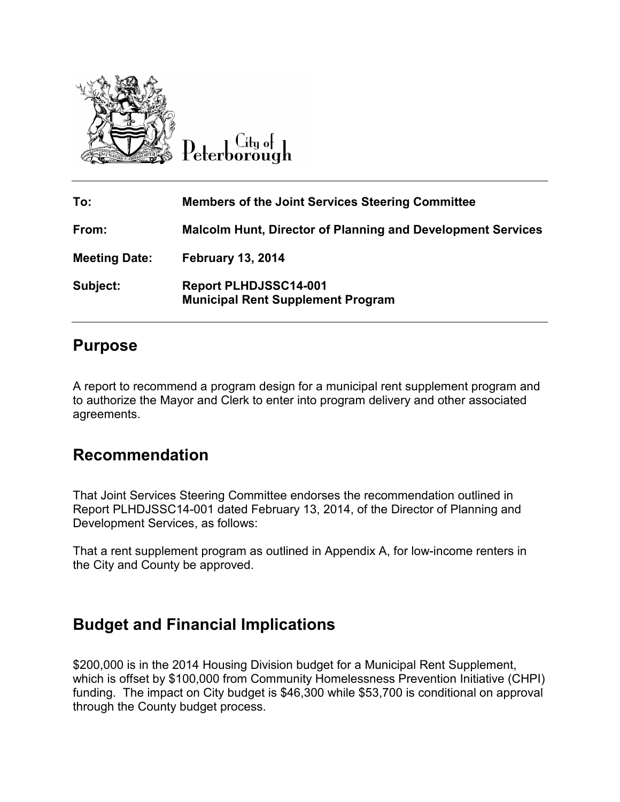

Citu o<del>l</del> Peterborough

| To:                  | <b>Members of the Joint Services Steering Committee</b>                  |
|----------------------|--------------------------------------------------------------------------|
| From:                | <b>Malcolm Hunt, Director of Planning and Development Services</b>       |
| <b>Meeting Date:</b> | <b>February 13, 2014</b>                                                 |
| Subject:             | <b>Report PLHDJSSC14-001</b><br><b>Municipal Rent Supplement Program</b> |

## **Purpose**

A report to recommend a program design for a municipal rent supplement program and to authorize the Mayor and Clerk to enter into program delivery and other associated agreements.

# **Recommendation**

That Joint Services Steering Committee endorses the recommendation outlined in Report PLHDJSSC14-001 dated February 13, 2014, of the Director of Planning and Development Services, as follows:

That a rent supplement program as outlined in Appendix A, for low-income renters in the City and County be approved.

# **Budget and Financial Implications**

\$200,000 is in the 2014 Housing Division budget for a Municipal Rent Supplement, which is offset by \$100,000 from Community Homelessness Prevention Initiative (CHPI) funding. The impact on City budget is \$46,300 while \$53,700 is conditional on approval through the County budget process.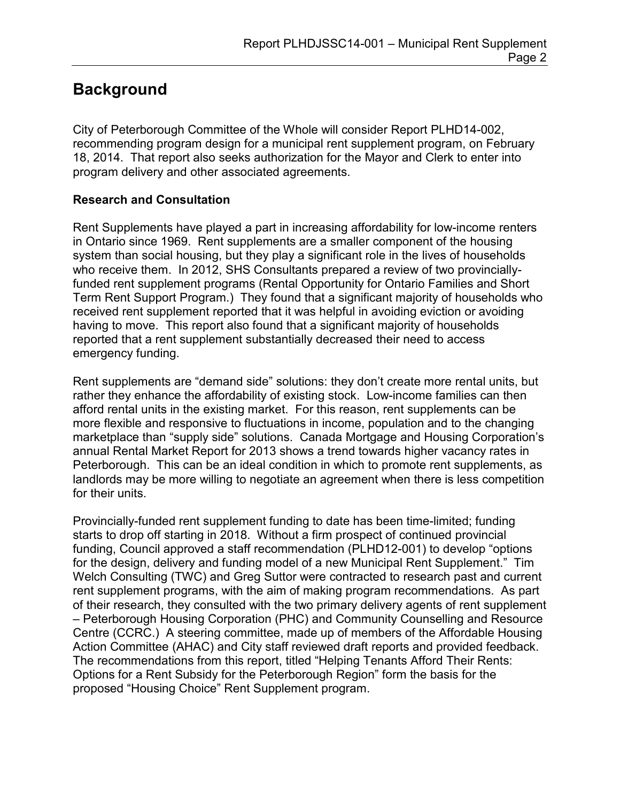# **Background**

City of Peterborough Committee of the Whole will consider Report PLHD14-002, recommending program design for a municipal rent supplement program, on February 18, 2014. That report also seeks authorization for the Mayor and Clerk to enter into program delivery and other associated agreements.

## **Research and Consultation**

Rent Supplements have played a part in increasing affordability for low-income renters in Ontario since 1969. Rent supplements are a smaller component of the housing system than social housing, but they play a significant role in the lives of households who receive them. In 2012, SHS Consultants prepared a review of two provinciallyfunded rent supplement programs (Rental Opportunity for Ontario Families and Short Term Rent Support Program.) They found that a significant majority of households who received rent supplement reported that it was helpful in avoiding eviction or avoiding having to move. This report also found that a significant majority of households reported that a rent supplement substantially decreased their need to access emergency funding.

Rent supplements are "demand side" solutions: they don't create more rental units, but rather they enhance the affordability of existing stock. Low-income families can then afford rental units in the existing market. For this reason, rent supplements can be more flexible and responsive to fluctuations in income, population and to the changing marketplace than "supply side" solutions. Canada Mortgage and Housing Corporation's annual Rental Market Report for 2013 shows a trend towards higher vacancy rates in Peterborough. This can be an ideal condition in which to promote rent supplements, as landlords may be more willing to negotiate an agreement when there is less competition for their units.

Provincially-funded rent supplement funding to date has been time-limited; funding starts to drop off starting in 2018. Without a firm prospect of continued provincial funding, Council approved a staff recommendation (PLHD12-001) to develop "options for the design, delivery and funding model of a new Municipal Rent Supplement." Tim Welch Consulting (TWC) and Greg Suttor were contracted to research past and current rent supplement programs, with the aim of making program recommendations. As part of their research, they consulted with the two primary delivery agents of rent supplement – Peterborough Housing Corporation (PHC) and Community Counselling and Resource Centre (CCRC.) A steering committee, made up of members of the Affordable Housing Action Committee (AHAC) and City staff reviewed draft reports and provided feedback. The recommendations from this report, titled "Helping Tenants Afford Their Rents: Options for a Rent Subsidy for the Peterborough Region" form the basis for the proposed "Housing Choice" Rent Supplement program.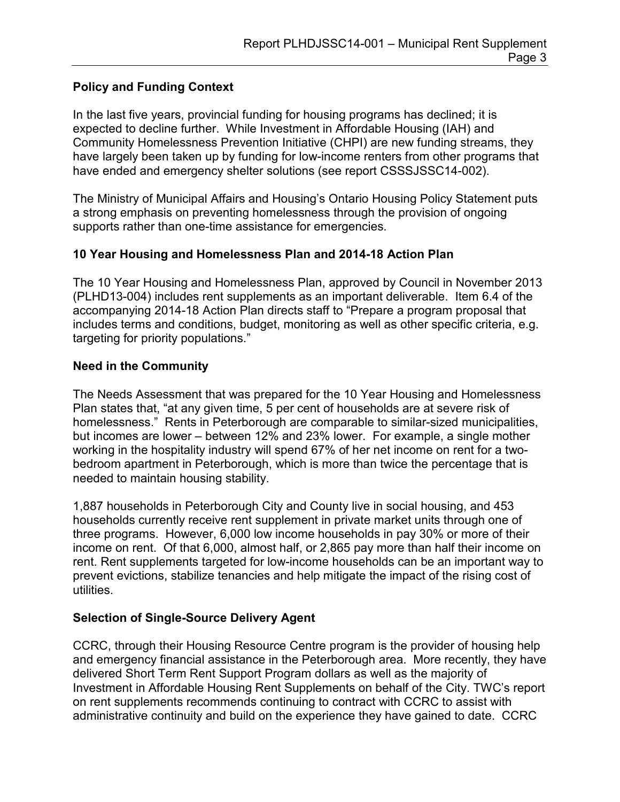## **Policy and Funding Context**

In the last five years, provincial funding for housing programs has declined; it is expected to decline further. While Investment in Affordable Housing (IAH) and Community Homelessness Prevention Initiative (CHPI) are new funding streams, they have largely been taken up by funding for low-income renters from other programs that have ended and emergency shelter solutions (see report CSSSJSSC14-002).

The Ministry of Municipal Affairs and Housing's Ontario Housing Policy Statement puts a strong emphasis on preventing homelessness through the provision of ongoing supports rather than one-time assistance for emergencies.

## **10 Year Housing and Homelessness Plan and 2014-18 Action Plan**

The 10 Year Housing and Homelessness Plan, approved by Council in November 2013 (PLHD13-004) includes rent supplements as an important deliverable. Item 6.4 of the accompanying 2014-18 Action Plan directs staff to "Prepare a program proposal that includes terms and conditions, budget, monitoring as well as other specific criteria, e.g. targeting for priority populations."

#### **Need in the Community**

The Needs Assessment that was prepared for the 10 Year Housing and Homelessness Plan states that, "at any given time, 5 per cent of households are at severe risk of homelessness." Rents in Peterborough are comparable to similar-sized municipalities, but incomes are lower – between 12% and 23% lower. For example, a single mother working in the hospitality industry will spend 67% of her net income on rent for a twobedroom apartment in Peterborough, which is more than twice the percentage that is needed to maintain housing stability.

1,887 households in Peterborough City and County live in social housing, and 453 households currently receive rent supplement in private market units through one of three programs. However, 6,000 low income households in pay 30% or more of their income on rent. Of that 6,000, almost half, or 2,865 pay more than half their income on rent. Rent supplements targeted for low-income households can be an important way to prevent evictions, stabilize tenancies and help mitigate the impact of the rising cost of utilities.

## **Selection of Single-Source Delivery Agent**

CCRC, through their Housing Resource Centre program is the provider of housing help and emergency financial assistance in the Peterborough area. More recently, they have delivered Short Term Rent Support Program dollars as well as the majority of Investment in Affordable Housing Rent Supplements on behalf of the City. TWC's report on rent supplements recommends continuing to contract with CCRC to assist with administrative continuity and build on the experience they have gained to date. CCRC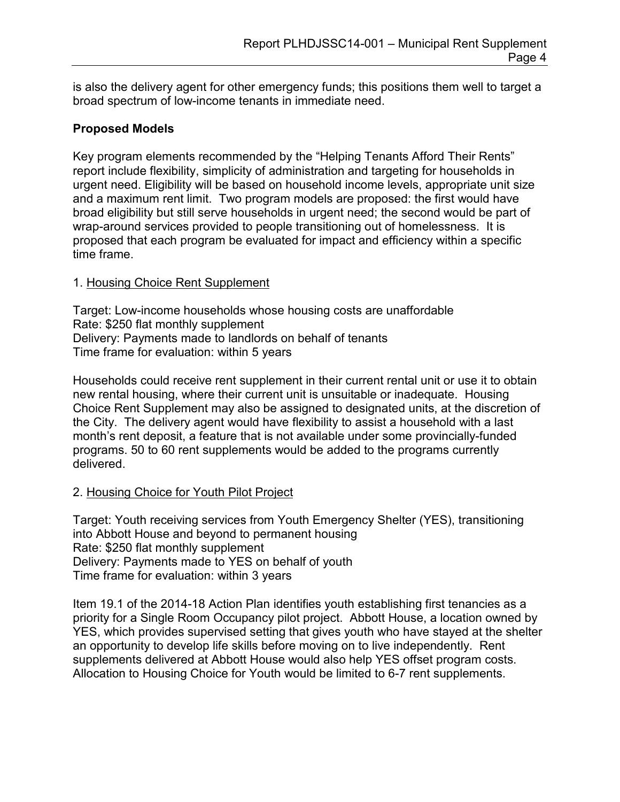is also the delivery agent for other emergency funds; this positions them well to target a broad spectrum of low-income tenants in immediate need.

## **Proposed Models**

Key program elements recommended by the "Helping Tenants Afford Their Rents" report include flexibility, simplicity of administration and targeting for households in urgent need. Eligibility will be based on household income levels, appropriate unit size and a maximum rent limit. Two program models are proposed: the first would have broad eligibility but still serve households in urgent need; the second would be part of wrap-around services provided to people transitioning out of homelessness. It is proposed that each program be evaluated for impact and efficiency within a specific time frame.

## 1. Housing Choice Rent Supplement

Target: Low-income households whose housing costs are unaffordable Rate: \$250 flat monthly supplement Delivery: Payments made to landlords on behalf of tenants Time frame for evaluation: within 5 years

Households could receive rent supplement in their current rental unit or use it to obtain new rental housing, where their current unit is unsuitable or inadequate. Housing Choice Rent Supplement may also be assigned to designated units, at the discretion of the City. The delivery agent would have flexibility to assist a household with a last month's rent deposit, a feature that is not available under some provincially-funded programs. 50 to 60 rent supplements would be added to the programs currently delivered.

## 2. Housing Choice for Youth Pilot Project

Target: Youth receiving services from Youth Emergency Shelter (YES), transitioning into Abbott House and beyond to permanent housing Rate: \$250 flat monthly supplement Delivery: Payments made to YES on behalf of youth Time frame for evaluation: within 3 years

Item 19.1 of the 2014-18 Action Plan identifies youth establishing first tenancies as a priority for a Single Room Occupancy pilot project. Abbott House, a location owned by YES, which provides supervised setting that gives youth who have stayed at the shelter an opportunity to develop life skills before moving on to live independently. Rent supplements delivered at Abbott House would also help YES offset program costs. Allocation to Housing Choice for Youth would be limited to 6-7 rent supplements.